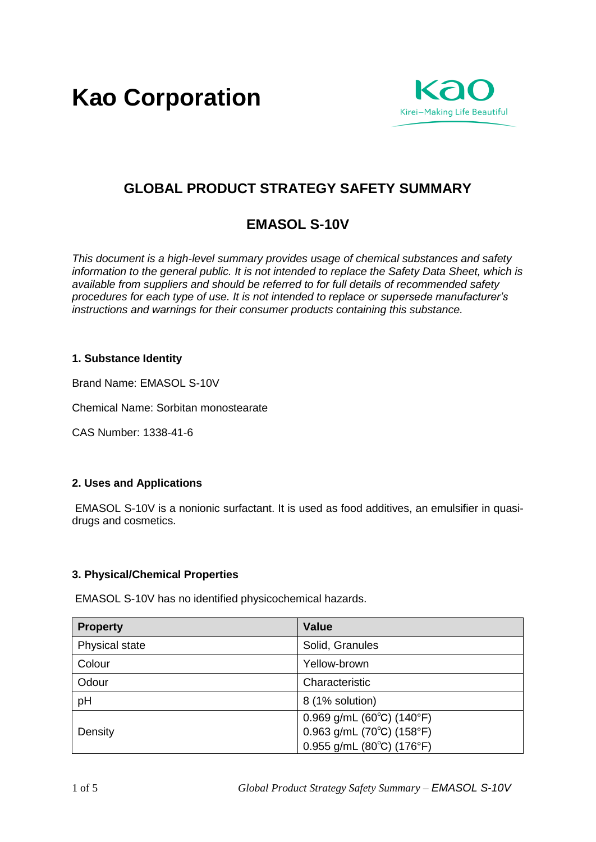**Kao Corporation**



# **GLOBAL PRODUCT STRATEGY SAFETY SUMMARY**

# **EMASOL S-10V**

*This document is a high-level summary provides usage of chemical substances and safety information to the general public. It is not intended to replace the Safety Data Sheet, which is available from suppliers and should be referred to for full details of recommended safety procedures for each type of use. It is not intended to replace or supersede manufacturer's instructions and warnings for their consumer products containing this substance.* 

# **1. Substance Identity**

Brand Name: EMASOL S-10V

Chemical Name: Sorbitan monostearate

CAS Number: 1338-41-6

## **2. Uses and Applications**

EMASOL S-10V is a nonionic surfactant. It is used as food additives, an emulsifier in quasidrugs and cosmetics.

## **3. Physical/Chemical Properties**

EMASOL S-10V has no identified physicochemical hazards.

| <b>Property</b> | Value                                             |
|-----------------|---------------------------------------------------|
| Physical state  | Solid, Granules                                   |
| Colour          | Yellow-brown                                      |
| Odour           | Characteristic                                    |
| pH              | 8 (1% solution)                                   |
| Density         | 0.969 g/mL (60 $^{\circ}$ C) (140 $^{\circ}$ F)   |
|                 | $0.963$ g/mL (70 $^{\circ}$ C) (158 $^{\circ}$ F) |
|                 | $0.955$ g/mL (80 $^{\circ}$ C) (176 $^{\circ}$ F) |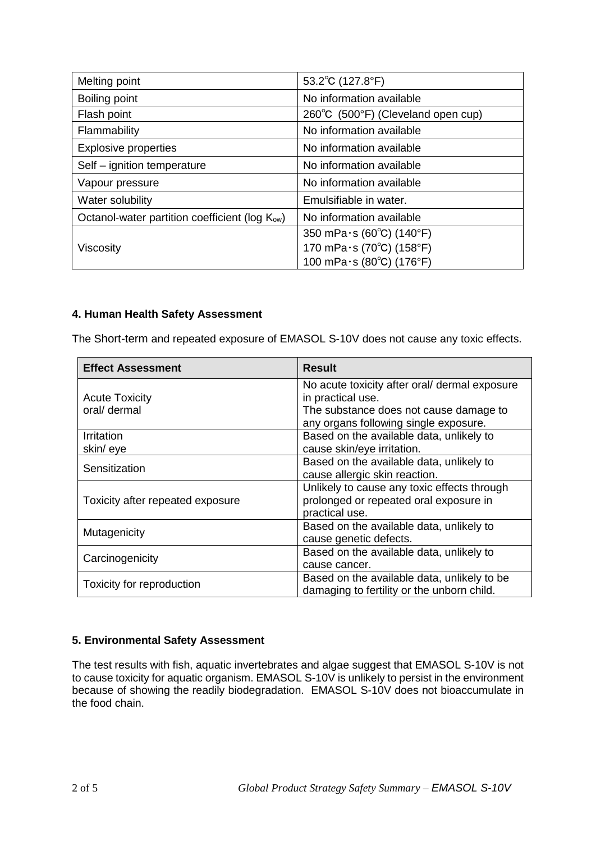| Melting point                                              | 53.2°C (127.8°F)                   |
|------------------------------------------------------------|------------------------------------|
| Boiling point                                              | No information available           |
| Flash point                                                | 260°C (500°F) (Cleveland open cup) |
| Flammability                                               | No information available           |
| <b>Explosive properties</b>                                | No information available           |
| Self - ignition temperature                                | No information available           |
| Vapour pressure                                            | No information available           |
| Water solubility                                           | Emulsifiable in water.             |
| Octanol-water partition coefficient (log K <sub>ow</sub> ) | No information available           |
| Viscosity                                                  | 350 mPa $\cdot$ s (60°C) (140°F)   |
|                                                            | 170 mPa $\cdot$ s (70°C) (158°F)   |
|                                                            | 100 mPa·s (80°C) (176°F)           |

# **4. Human Health Safety Assessment**

The Short-term and repeated exposure of EMASOL S-10V does not cause any toxic effects.

| <b>Effect Assessment</b>              | <b>Result</b>                                                                                                                                         |
|---------------------------------------|-------------------------------------------------------------------------------------------------------------------------------------------------------|
| <b>Acute Toxicity</b><br>oral/ dermal | No acute toxicity after oral/ dermal exposure<br>in practical use.<br>The substance does not cause damage to<br>any organs following single exposure. |
| Irritation                            | Based on the available data, unlikely to                                                                                                              |
| skin/eye                              | cause skin/eye irritation.                                                                                                                            |
| Sensitization                         | Based on the available data, unlikely to<br>cause allergic skin reaction.                                                                             |
| Toxicity after repeated exposure      | Unlikely to cause any toxic effects through<br>prolonged or repeated oral exposure in<br>practical use.                                               |
| Mutagenicity                          | Based on the available data, unlikely to<br>cause genetic defects.                                                                                    |
| Carcinogenicity                       | Based on the available data, unlikely to                                                                                                              |
|                                       | cause cancer.                                                                                                                                         |
| Toxicity for reproduction             | Based on the available data, unlikely to be<br>damaging to fertility or the unborn child.                                                             |

# **5. Environmental Safety Assessment**

The test results with fish, aquatic invertebrates and algae suggest that EMASOL S-10V is not to cause toxicity for aquatic organism. EMASOL S-10V is unlikely to persist in the environment because of showing the readily biodegradation. EMASOL S-10V does not bioaccumulate in the food chain.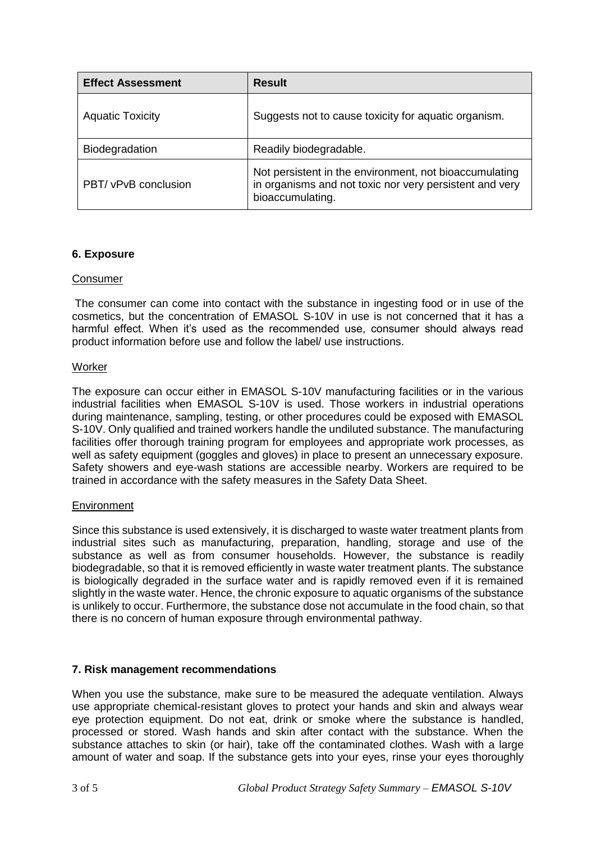| <b>Effect Assessment</b> | <b>Result</b>                                                                                                                         |
|--------------------------|---------------------------------------------------------------------------------------------------------------------------------------|
| <b>Aquatic Toxicity</b>  | Suggests not to cause toxicity for aquatic organism.                                                                                  |
| Biodegradation           | Readily biodegradable.                                                                                                                |
| PBT/ vPvB conclusion     | Not persistent in the environment, not bioaccumulating<br>in organisms and not toxic nor very persistent and very<br>bioaccumulating. |

## **6. Exposure**

## Consumer

The consumer can come into contact with the substance in ingesting food or in use of the cosmetics, but the concentration of EMASOL S-10V in use is not concerned that it has a harmful effect. When it's used as the recommended use, consumer should always read product information before use and follow the label/ use instructions.

## **Worker**

The exposure can occur either in EMASOL S-10V manufacturing facilities or in the various industrial facilities when EMASOL S-10V is used. Those workers in industrial operations during maintenance, sampling, testing, or other procedures could be exposed with EMASOL S-10V. Only qualified and trained workers handle the undiluted substance. The manufacturing facilities offer thorough training program for employees and appropriate work processes, as well as safety equipment (goggles and gloves) in place to present an unnecessary exposure. Safety showers and eye-wash stations are accessible nearby. Workers are required to be trained in accordance with the safety measures in the Safety Data Sheet.

#### **Environment**

Since this substance is used extensively, it is discharged to waste water treatment plants from industrial sites such as manufacturing, preparation, handling, storage and use of the substance as well as from consumer households. However, the substance is readily biodegradable, so that it is removed efficiently in waste water treatment plants. The substance is biologically degraded in the surface water and is rapidly removed even if it is remained slightly in the waste water. Hence, the chronic exposure to aquatic organisms of the substance is unlikely to occur. Furthermore, the substance dose not accumulate in the food chain, so that there is no concern of human exposure through environmental pathway.

## **7. Risk management recommendations**

When you use the substance, make sure to be measured the adequate ventilation. Always use appropriate chemical-resistant gloves to protect your hands and skin and always wear eye protection equipment. Do not eat, drink or smoke where the substance is handled, processed or stored. Wash hands and skin after contact with the substance. When the substance attaches to skin (or hair), take off the contaminated clothes. Wash with a large amount of water and soap. If the substance gets into your eyes, rinse your eyes thoroughly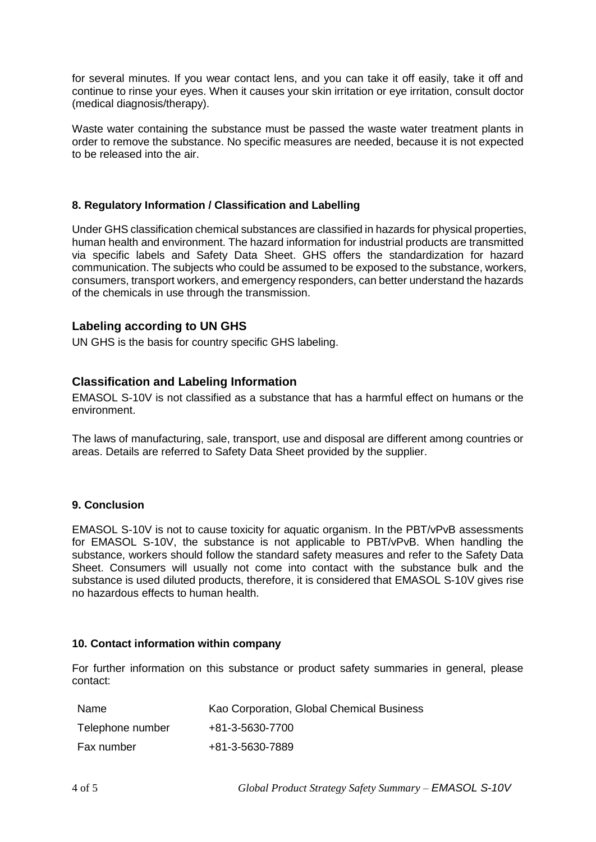for several minutes. If you wear contact lens, and you can take it off easily, take it off and continue to rinse your eyes. When it causes your skin irritation or eye irritation, consult doctor (medical diagnosis/therapy).

Waste water containing the substance must be passed the waste water treatment plants in order to remove the substance. No specific measures are needed, because it is not expected to be released into the air.

# **8. Regulatory Information / Classification and Labelling**

Under GHS classification chemical substances are classified in hazards for physical properties, human health and environment. The hazard information for industrial products are transmitted via specific labels and Safety Data Sheet. GHS offers the standardization for hazard communication. The subjects who could be assumed to be exposed to the substance, workers, consumers, transport workers, and emergency responders, can better understand the hazards of the chemicals in use through the transmission.

# **Labeling according to UN GHS**

UN GHS is the basis for country specific GHS labeling.

# **Classification and Labeling Information**

EMASOL S-10V is not classified as a substance that has a harmful effect on humans or the environment.

The laws of manufacturing, sale, transport, use and disposal are different among countries or areas. Details are referred to Safety Data Sheet provided by the supplier.

#### **9. Conclusion**

EMASOL S-10V is not to cause toxicity for aquatic organism. In the PBT/vPvB assessments for EMASOL S-10V, the substance is not applicable to PBT/vPvB. When handling the substance, workers should follow the standard safety measures and refer to the Safety Data Sheet. Consumers will usually not come into contact with the substance bulk and the substance is used diluted products, therefore, it is considered that EMASOL S-10V gives rise no hazardous effects to human health.

#### **10. Contact information within company**

For further information on this substance or product safety summaries in general, please contact:

| Name             | Kao Corporation, Global Chemical Business |
|------------------|-------------------------------------------|
| Telephone number | +81-3-5630-7700                           |
| Fax number       | +81-3-5630-7889                           |